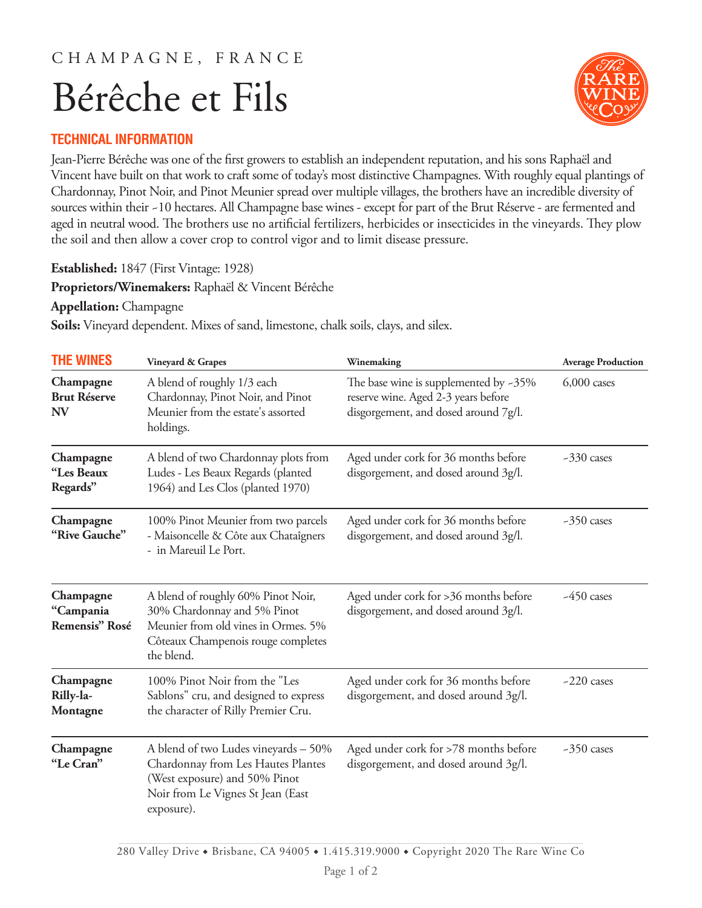## C H A M P A G N E , F R A N C E Bérêche et Fils



## **TECHNICAL INFORMATION**

Jean-Pierre Bérêche was one of the first growers to establish an independent reputation, and his sons Raphaël and Vincent have built on that work to craft some of today's most distinctive Champagnes. With roughly equal plantings of Chardonnay, Pinot Noir, and Pinot Meunier spread over multiple villages, the brothers have an incredible diversity of sources within their ~10 hectares. All Champagne base wines - except for part of the Brut Réserve - are fermented and aged in neutral wood. The brothers use no artificial fertilizers, herbicides or insecticides in the vineyards. They plow the soil and then allow a cover crop to control vigor and to limit disease pressure.

**Established:** 1847 (First Vintage: 1928)

**Proprietors/Winemakers:** Raphaël & Vincent Bérêche

**Appellation:** Champagne

**Soils:** Vineyard dependent. Mixes of sand, limestone, chalk soils, clays, and silex.

| <b>THE WINES</b>                              | Vineyard & Grapes                                                                                                                                              | Winemaking                                                                                                              | <b>Average Production</b> |
|-----------------------------------------------|----------------------------------------------------------------------------------------------------------------------------------------------------------------|-------------------------------------------------------------------------------------------------------------------------|---------------------------|
| Champagne<br><b>Brut Réserve</b><br><b>NV</b> | A blend of roughly 1/3 each<br>Chardonnay, Pinot Noir, and Pinot<br>Meunier from the estate's assorted<br>holdings.                                            | The base wine is supplemented by $-35\%$<br>reserve wine. Aged 2-3 years before<br>disgorgement, and dosed around 7g/l. | $6,000$ cases             |
| Champagne<br>"Les Beaux<br>Regards"           | A blend of two Chardonnay plots from<br>Ludes - Les Beaux Regards (planted<br>1964) and Les Clos (planted 1970)                                                | Aged under cork for 36 months before<br>disgorgement, and dosed around 3g/l.                                            | $-330$ cases              |
| Champagne<br>"Rive Gauche"                    | 100% Pinot Meunier from two parcels<br>- Maisoncelle & Côte aux Chataîgners<br>- in Mareuil Le Port.                                                           | Aged under cork for 36 months before<br>disgorgement, and dosed around 3g/l.                                            | $-350$ cases              |
| Champagne<br>"Campania<br>Remensis" Rosé      | A blend of roughly 60% Pinot Noir,<br>30% Chardonnay and 5% Pinot<br>Meunier from old vines in Ormes. 5%<br>Côteaux Champenois rouge completes<br>the blend.   | Aged under cork for >36 months before<br>disgorgement, and dosed around 3g/l.                                           | $-450$ cases              |
| Champagne<br>Rilly-la-<br>Montagne            | 100% Pinot Noir from the "Les<br>Sablons" cru, and designed to express<br>the character of Rilly Premier Cru.                                                  | Aged under cork for 36 months before<br>disgorgement, and dosed around 3g/l.                                            | $-220$ cases              |
| Champagne<br>"Le Cran"                        | A blend of two Ludes vineyards - 50%<br>Chardonnay from Les Hautes Plantes<br>(West exposure) and 50% Pinot<br>Noir from Le Vignes St Jean (East<br>exposure). | Aged under cork for >78 months before<br>disgorgement, and dosed around 3g/l.                                           | $-350$ cases              |